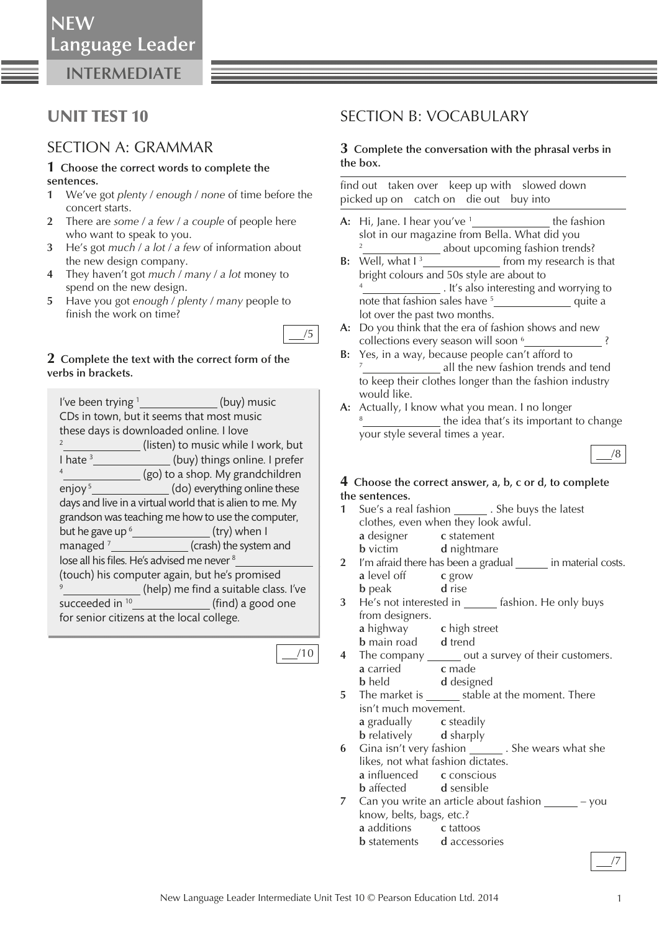**INTERMEDIATE**

## UNIT TEST 10

### SECTION A: GRAMMAR

#### **1 Choose the correct words to complete the sentences.**

- **1** We've got *plenty* / *enough* / *none* of time before the concert starts.
- **2** There are *some* / *a few* / *a couple* of people here who want to speak to you.
- **3** He's got *much* / *a lot* / *a few* of information about the new design company.
- **4** They haven't got *much* / *many* / *a lot* money to spend on the new design.
- **5** Have you got *enough* / *plenty* / *many* people to finish the work on time?

### **2 Complete the text with the correct form of the verbs in brackets.**

| I've been trying $1$                                     | (buy) music                                   |
|----------------------------------------------------------|-----------------------------------------------|
| CDs in town, but it seems that most music                |                                               |
| these days is downloaded online. I love                  |                                               |
| $\overline{2}$                                           | (listen) to music while I work, but           |
| I hate $3$                                               | (buy) things online. I prefer                 |
| $\overline{4}$                                           | (go) to a shop. My grandchildren              |
| enjoy $5$                                                | (do) everything online these                  |
| days and live in a virtual world that is alien to me. My |                                               |
| grandson was teaching me how to use the computer,        |                                               |
|                                                          |                                               |
| managed $7$                                              | <b>Example 2016</b> (crash) the system and    |
| lose all his files. He's advised me never <sup>8</sup>   |                                               |
|                                                          | (touch) his computer again, but he's promised |
|                                                          | (help) me find a suitable class. I've         |
| succeeded in <sup>10</sup>                               | (find) a good one                             |
| for senior citizens at the local college.                |                                               |

/10

/5

### SECTION B: VOCABULARY

### **3 Complete the conversation with the phrasal verbs in the box.**

find out taken over keep up with slowed down picked up on catch on die out buy into

- **A:** Hi, Jane. I hear you've <sup>1</sup> the fashion slot in our magazine from Bella. What did you 2 about upcoming fashion trends?
- **B:** Well, what  $I<sup>3</sup>$ from my research is that bright colours and 50s style are about to 4 . It's also interesting and worrying to note that fashion sales have 5 quite a lot over the past two months.
- **A:** Do you think that the era of fashion shows and new collections every season will soon  $\frac{6}{2}$  ?
- **B:** Yes, in a way, because people can't afford to 7 all the new fashion trends and tend to keep their clothes longer than the fashion industry would like.
- **A:** Actually, I know what you mean. I no longer 8 the idea that's its important to change your style several times a year.

### **4 Choose the correct answer, a, b, c or d, to complete the sentences.**

- **1** Sue's a real fashion . She buys the latest clothes, even when they look awful. **a** designer **c** statement **b** victim **d** nightmare
- **2** I'm afraid there has been a gradual **in material costs. a** level off **c** grow **b** peak **d** rise
- **He's not interested in** fashion. He only buys from designers. **a** highway **c** high street
	-
- **b** main road **d** trend<br>The company \_\_\_\_\_\_\_\_ ou **but a survey of their customers. a** carried **c** made **b** held **d** designed
- **5** The market is stable at the moment. There isn't much movement. **a** gradually **c** steadily **b** relatively **d** sharply
- **6** Gina isn't very fashion . She wears what she likes, not what fashion dictates. **a** influenced **c** conscious **b** affected **d** sensible
- **7** Can you write an article about fashion you know, belts, bags, etc.? **a** additions **c** tattoos
	- **b** statements **d** accessories

 $\frac{1}{2}$ 

/8